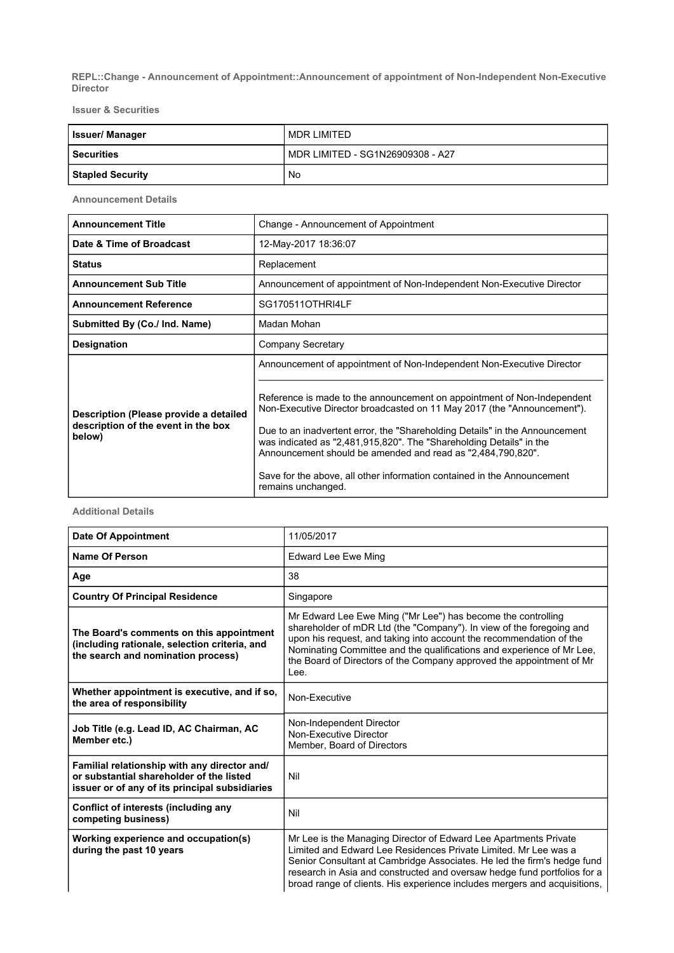REPL::Change - Announcement of Appointment::Announcement of appointment of Non-Independent Non-Executive Director

Issuer & Securities

| <b>Issuer/Manager</b>   | MDR I IMITED                     |
|-------------------------|----------------------------------|
| <b>Securities</b>       | MDR LIMITED - SG1N26909308 - A27 |
| <b>Stapled Security</b> | No                               |

Announcement Details

| <b>Announcement Title</b>                                                               | Change - Announcement of Appointment                                                                                                                                                                                                                                                                                                                                                                                                                                     |
|-----------------------------------------------------------------------------------------|--------------------------------------------------------------------------------------------------------------------------------------------------------------------------------------------------------------------------------------------------------------------------------------------------------------------------------------------------------------------------------------------------------------------------------------------------------------------------|
| Date & Time of Broadcast                                                                | 12-May-2017 18:36:07                                                                                                                                                                                                                                                                                                                                                                                                                                                     |
| <b>Status</b>                                                                           | Replacement                                                                                                                                                                                                                                                                                                                                                                                                                                                              |
| <b>Announcement Sub Title</b>                                                           | Announcement of appointment of Non-Independent Non-Executive Director                                                                                                                                                                                                                                                                                                                                                                                                    |
| <b>Announcement Reference</b>                                                           | SG170511OTHRI4LF                                                                                                                                                                                                                                                                                                                                                                                                                                                         |
| Submitted By (Co./ Ind. Name)                                                           | Madan Mohan                                                                                                                                                                                                                                                                                                                                                                                                                                                              |
| <b>Designation</b>                                                                      | Company Secretary                                                                                                                                                                                                                                                                                                                                                                                                                                                        |
|                                                                                         | Announcement of appointment of Non-Independent Non-Executive Director                                                                                                                                                                                                                                                                                                                                                                                                    |
| Description (Please provide a detailed<br>description of the event in the box<br>below) | Reference is made to the announcement on appointment of Non-Independent<br>Non-Executive Director broadcasted on 11 May 2017 (the "Announcement").<br>Due to an inadvertent error, the "Shareholding Details" in the Announcement<br>was indicated as "2,481,915,820". The "Shareholding Details" in the<br>Announcement should be amended and read as "2,484,790,820".<br>Save for the above, all other information contained in the Announcement<br>remains unchanged. |

## Additional Details

| <b>Date Of Appointment</b>                                                                                                                 | 11/05/2017                                                                                                                                                                                                                                                                                                                                                              |
|--------------------------------------------------------------------------------------------------------------------------------------------|-------------------------------------------------------------------------------------------------------------------------------------------------------------------------------------------------------------------------------------------------------------------------------------------------------------------------------------------------------------------------|
| Name Of Person                                                                                                                             | <b>Edward Lee Ewe Ming</b>                                                                                                                                                                                                                                                                                                                                              |
| Age                                                                                                                                        | 38                                                                                                                                                                                                                                                                                                                                                                      |
| <b>Country Of Principal Residence</b>                                                                                                      | Singapore                                                                                                                                                                                                                                                                                                                                                               |
| The Board's comments on this appointment<br>(including rationale, selection criteria, and<br>the search and nomination process)            | Mr Edward Lee Ewe Ming ("Mr Lee") has become the controlling<br>shareholder of mDR Ltd (the "Company"). In view of the foregoing and<br>upon his request, and taking into account the recommendation of the<br>Nominating Committee and the qualifications and experience of Mr Lee,<br>the Board of Directors of the Company approved the appointment of Mr<br>Lee.    |
| Whether appointment is executive, and if so,<br>the area of responsibility                                                                 | Non-Executive                                                                                                                                                                                                                                                                                                                                                           |
| Job Title (e.g. Lead ID, AC Chairman, AC<br>Member etc.)                                                                                   | Non-Independent Director<br>Non-Executive Director<br>Member, Board of Directors                                                                                                                                                                                                                                                                                        |
| Familial relationship with any director and/<br>or substantial shareholder of the listed<br>issuer or of any of its principal subsidiaries | Nil                                                                                                                                                                                                                                                                                                                                                                     |
| Conflict of interests (including any<br>competing business)                                                                                | Nil                                                                                                                                                                                                                                                                                                                                                                     |
| Working experience and occupation(s)<br>during the past 10 years                                                                           | Mr Lee is the Managing Director of Edward Lee Apartments Private<br>Limited and Edward Lee Residences Private Limited. Mr Lee was a<br>Senior Consultant at Cambridge Associates. He led the firm's hedge fund<br>research in Asia and constructed and oversaw hedge fund portfolios for a<br>broad range of clients. His experience includes mergers and acquisitions, |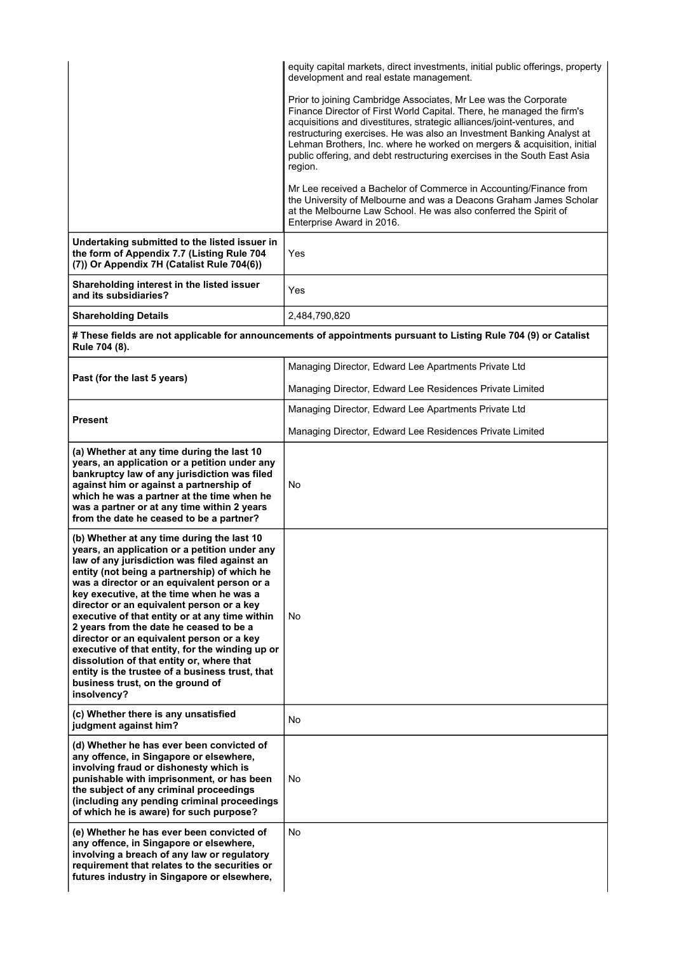|                                                                                                                                                                                                                                                                                                                                                                                                                                                                                                                                                                                                                                                                                     | equity capital markets, direct investments, initial public offerings, property<br>development and real estate management.                                                                                                                                                                                                                                                                                                                                     |  |  |
|-------------------------------------------------------------------------------------------------------------------------------------------------------------------------------------------------------------------------------------------------------------------------------------------------------------------------------------------------------------------------------------------------------------------------------------------------------------------------------------------------------------------------------------------------------------------------------------------------------------------------------------------------------------------------------------|---------------------------------------------------------------------------------------------------------------------------------------------------------------------------------------------------------------------------------------------------------------------------------------------------------------------------------------------------------------------------------------------------------------------------------------------------------------|--|--|
|                                                                                                                                                                                                                                                                                                                                                                                                                                                                                                                                                                                                                                                                                     | Prior to joining Cambridge Associates, Mr Lee was the Corporate<br>Finance Director of First World Capital. There, he managed the firm's<br>acquisitions and divestitures, strategic alliances/joint-ventures, and<br>restructuring exercises. He was also an Investment Banking Analyst at<br>Lehman Brothers, Inc. where he worked on mergers & acquisition, initial<br>public offering, and debt restructuring exercises in the South East Asia<br>region. |  |  |
|                                                                                                                                                                                                                                                                                                                                                                                                                                                                                                                                                                                                                                                                                     | Mr Lee received a Bachelor of Commerce in Accounting/Finance from<br>the University of Melbourne and was a Deacons Graham James Scholar<br>at the Melbourne Law School. He was also conferred the Spirit of<br>Enterprise Award in 2016.                                                                                                                                                                                                                      |  |  |
| Undertaking submitted to the listed issuer in<br>the form of Appendix 7.7 (Listing Rule 704<br>(7)) Or Appendix 7H (Catalist Rule 704(6))                                                                                                                                                                                                                                                                                                                                                                                                                                                                                                                                           | Yes                                                                                                                                                                                                                                                                                                                                                                                                                                                           |  |  |
| Shareholding interest in the listed issuer<br>and its subsidiaries?                                                                                                                                                                                                                                                                                                                                                                                                                                                                                                                                                                                                                 | Yes                                                                                                                                                                                                                                                                                                                                                                                                                                                           |  |  |
| <b>Shareholding Details</b>                                                                                                                                                                                                                                                                                                                                                                                                                                                                                                                                                                                                                                                         | 2,484,790,820                                                                                                                                                                                                                                                                                                                                                                                                                                                 |  |  |
| # These fields are not applicable for announcements of appointments pursuant to Listing Rule 704 (9) or Catalist<br>Rule 704 (8).                                                                                                                                                                                                                                                                                                                                                                                                                                                                                                                                                   |                                                                                                                                                                                                                                                                                                                                                                                                                                                               |  |  |
|                                                                                                                                                                                                                                                                                                                                                                                                                                                                                                                                                                                                                                                                                     | Managing Director, Edward Lee Apartments Private Ltd                                                                                                                                                                                                                                                                                                                                                                                                          |  |  |
| Past (for the last 5 years)                                                                                                                                                                                                                                                                                                                                                                                                                                                                                                                                                                                                                                                         | Managing Director, Edward Lee Residences Private Limited                                                                                                                                                                                                                                                                                                                                                                                                      |  |  |
|                                                                                                                                                                                                                                                                                                                                                                                                                                                                                                                                                                                                                                                                                     | Managing Director, Edward Lee Apartments Private Ltd                                                                                                                                                                                                                                                                                                                                                                                                          |  |  |
| <b>Present</b>                                                                                                                                                                                                                                                                                                                                                                                                                                                                                                                                                                                                                                                                      | Managing Director, Edward Lee Residences Private Limited                                                                                                                                                                                                                                                                                                                                                                                                      |  |  |
| (a) Whether at any time during the last 10<br>years, an application or a petition under any<br>bankruptcy law of any jurisdiction was filed<br>against him or against a partnership of<br>which he was a partner at the time when he<br>was a partner or at any time within 2 years<br>from the date he ceased to be a partner?                                                                                                                                                                                                                                                                                                                                                     | No                                                                                                                                                                                                                                                                                                                                                                                                                                                            |  |  |
| (b) Whether at any time during the last 10<br>years, an application or a petition under any<br>law of any jurisdiction was filed against an<br>entity (not being a partnership) of which he<br>was a director or an equivalent person or a<br>key executive, at the time when he was a<br>director or an equivalent person or a key<br>executive of that entity or at any time within<br>2 years from the date he ceased to be a<br>director or an equivalent person or a key<br>executive of that entity, for the winding up or<br>dissolution of that entity or, where that<br>entity is the trustee of a business trust, that<br>business trust, on the ground of<br>insolvency? | No                                                                                                                                                                                                                                                                                                                                                                                                                                                            |  |  |
| (c) Whether there is any unsatisfied<br>judgment against him?                                                                                                                                                                                                                                                                                                                                                                                                                                                                                                                                                                                                                       | No                                                                                                                                                                                                                                                                                                                                                                                                                                                            |  |  |
| (d) Whether he has ever been convicted of<br>any offence, in Singapore or elsewhere,<br>involving fraud or dishonesty which is<br>punishable with imprisonment, or has been<br>the subject of any criminal proceedings<br>(including any pending criminal proceedings<br>of which he is aware) for such purpose?                                                                                                                                                                                                                                                                                                                                                                    | No                                                                                                                                                                                                                                                                                                                                                                                                                                                            |  |  |
| (e) Whether he has ever been convicted of<br>any offence, in Singapore or elsewhere,<br>involving a breach of any law or regulatory<br>requirement that relates to the securities or<br>futures industry in Singapore or elsewhere,                                                                                                                                                                                                                                                                                                                                                                                                                                                 | No                                                                                                                                                                                                                                                                                                                                                                                                                                                            |  |  |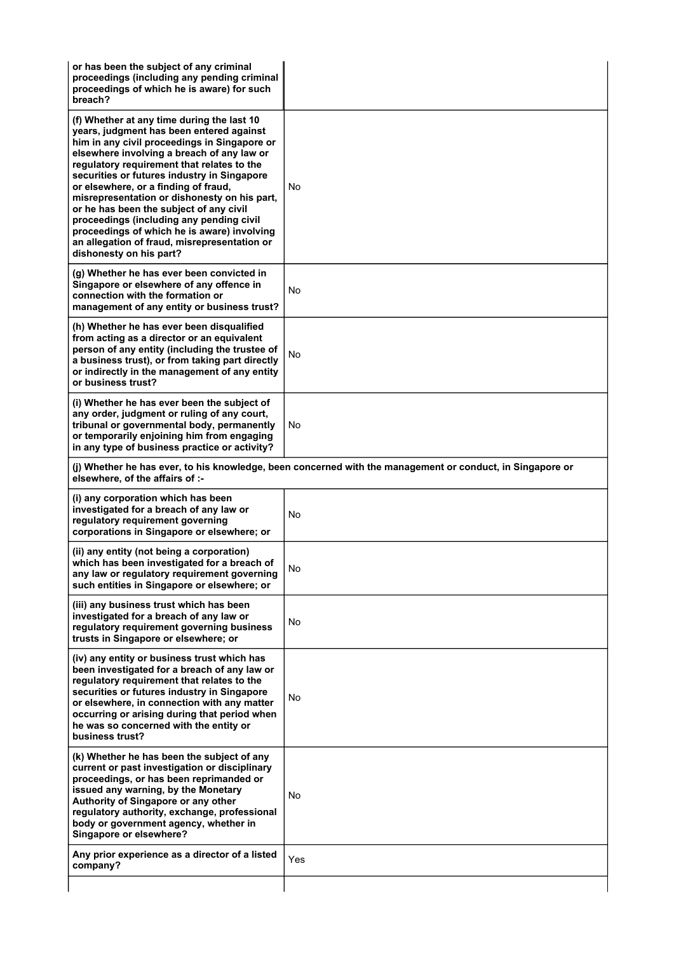| or has been the subject of any criminal<br>proceedings (including any pending criminal<br>proceedings of which he is aware) for such<br>breach?                                                                                                                                                                                                                                                                                                                                                                                                                                            |                                                                                                           |
|--------------------------------------------------------------------------------------------------------------------------------------------------------------------------------------------------------------------------------------------------------------------------------------------------------------------------------------------------------------------------------------------------------------------------------------------------------------------------------------------------------------------------------------------------------------------------------------------|-----------------------------------------------------------------------------------------------------------|
| (f) Whether at any time during the last 10<br>years, judgment has been entered against<br>him in any civil proceedings in Singapore or<br>elsewhere involving a breach of any law or<br>regulatory requirement that relates to the<br>securities or futures industry in Singapore<br>or elsewhere, or a finding of fraud,<br>misrepresentation or dishonesty on his part,<br>or he has been the subject of any civil<br>proceedings (including any pending civil<br>proceedings of which he is aware) involving<br>an allegation of fraud, misrepresentation or<br>dishonesty on his part? | No                                                                                                        |
| (g) Whether he has ever been convicted in<br>Singapore or elsewhere of any offence in<br>connection with the formation or<br>management of any entity or business trust?                                                                                                                                                                                                                                                                                                                                                                                                                   | No                                                                                                        |
| (h) Whether he has ever been disqualified<br>from acting as a director or an equivalent<br>person of any entity (including the trustee of<br>a business trust), or from taking part directly<br>or indirectly in the management of any entity<br>or business trust?                                                                                                                                                                                                                                                                                                                        | No                                                                                                        |
| (i) Whether he has ever been the subject of<br>any order, judgment or ruling of any court,<br>tribunal or governmental body, permanently<br>or temporarily enjoining him from engaging<br>in any type of business practice or activity?                                                                                                                                                                                                                                                                                                                                                    | No                                                                                                        |
| elsewhere, of the affairs of :-                                                                                                                                                                                                                                                                                                                                                                                                                                                                                                                                                            | (j) Whether he has ever, to his knowledge, been concerned with the management or conduct, in Singapore or |
| (i) any corporation which has been<br>investigated for a breach of any law or<br>regulatory requirement governing<br>corporations in Singapore or elsewhere; or                                                                                                                                                                                                                                                                                                                                                                                                                            | No                                                                                                        |
| (ii) any entity (not being a corporation)<br>which has been investigated for a breach of<br>any law or regulatory requirement governing<br>such entities in Singapore or elsewhere; or                                                                                                                                                                                                                                                                                                                                                                                                     | No                                                                                                        |
| (iii) any business trust which has been<br>investigated for a breach of any law or<br>regulatory requirement governing business<br>trusts in Singapore or elsewhere; or                                                                                                                                                                                                                                                                                                                                                                                                                    | No                                                                                                        |
| (iv) any entity or business trust which has<br>been investigated for a breach of any law or<br>regulatory requirement that relates to the<br>securities or futures industry in Singapore<br>or elsewhere, in connection with any matter<br>occurring or arising during that period when<br>he was so concerned with the entity or<br>business trust?                                                                                                                                                                                                                                       | No                                                                                                        |
| (k) Whether he has been the subject of any<br>current or past investigation or disciplinary<br>proceedings, or has been reprimanded or<br>issued any warning, by the Monetary<br>Authority of Singapore or any other<br>regulatory authority, exchange, professional<br>body or government agency, whether in<br>Singapore or elsewhere?                                                                                                                                                                                                                                                   | No.                                                                                                       |
| Any prior experience as a director of a listed<br>company?                                                                                                                                                                                                                                                                                                                                                                                                                                                                                                                                 | Yes                                                                                                       |